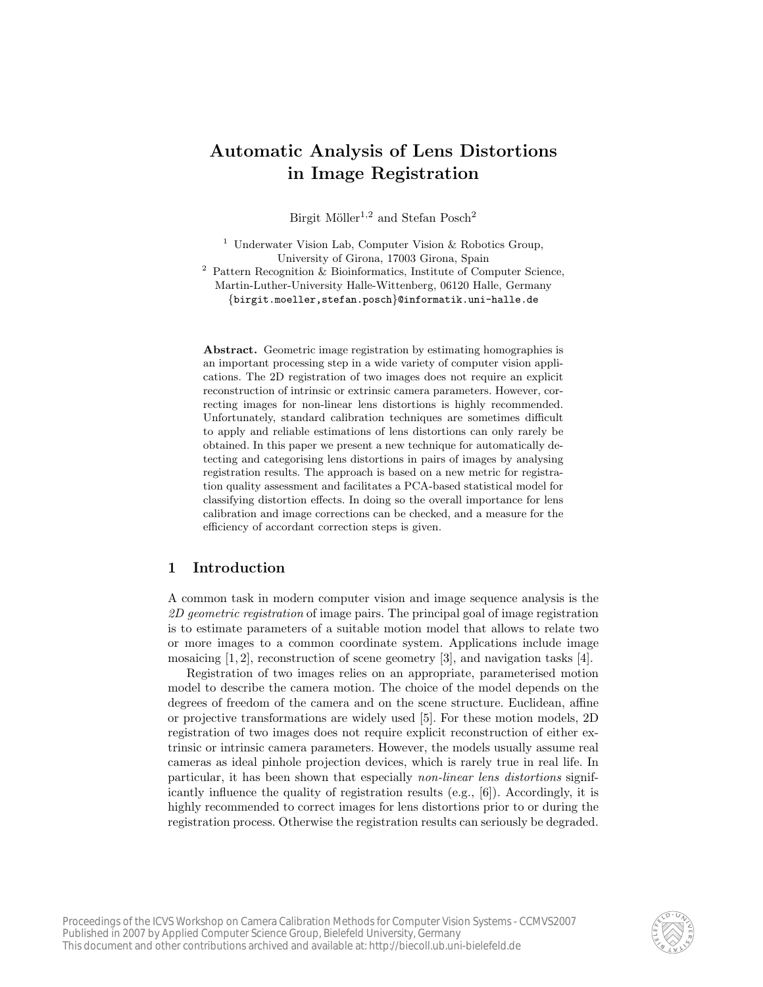# Automatic Analysis of Lens Distortions in Image Registration

Birgit Möller $^{1,2}$  and Stefan Posch $^2$ 

<sup>1</sup> Underwater Vision Lab, Computer Vision & Robotics Group, University of Girona, 17003 Girona, Spain

<sup>2</sup> Pattern Recognition & Bioinformatics, Institute of Computer Science, Martin-Luther-University Halle-Wittenberg, 06120 Halle, Germany {birgit.moeller,stefan.posch}@informatik.uni-halle.de

Abstract. Geometric image registration by estimating homographies is an important processing step in a wide variety of computer vision applications. The 2D registration of two images does not require an explicit reconstruction of intrinsic or extrinsic camera parameters. However, correcting images for non-linear lens distortions is highly recommended. Unfortunately, standard calibration techniques are sometimes difficult to apply and reliable estimations of lens distortions can only rarely be obtained. In this paper we present a new technique for automatically detecting and categorising lens distortions in pairs of images by analysing registration results. The approach is based on a new metric for registration quality assessment and facilitates a PCA-based statistical model for classifying distortion effects. In doing so the overall importance for lens calibration and image corrections can be checked, and a measure for the efficiency of accordant correction steps is given.

# 1 Introduction

A common task in modern computer vision and image sequence analysis is the 2D geometric registration of image pairs. The principal goal of image registration is to estimate parameters of a suitable motion model that allows to relate two or more images to a common coordinate system. Applications include image mosaicing [1, 2], reconstruction of scene geometry [3], and navigation tasks [4].

Registration of two images relies on an appropriate, parameterised motion model to describe the camera motion. The choice of the model depends on the degrees of freedom of the camera and on the scene structure. Euclidean, affine or projective transformations are widely used [5]. For these motion models, 2D registration of two images does not require explicit reconstruction of either extrinsic or intrinsic camera parameters. However, the models usually assume real cameras as ideal pinhole projection devices, which is rarely true in real life. In particular, it has been shown that especially non-linear lens distortions significantly influence the quality of registration results (e.g., [6]). Accordingly, it is highly recommended to correct images for lens distortions prior to or during the registration process. Otherwise the registration results can seriously be degraded.

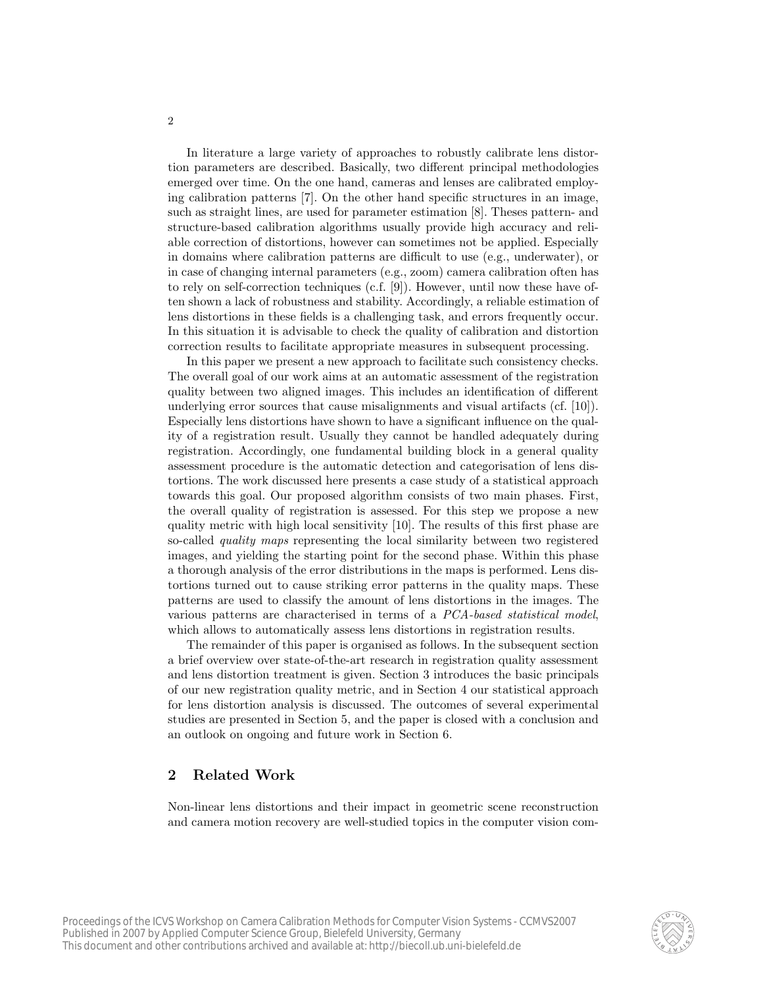In literature a large variety of approaches to robustly calibrate lens distortion parameters are described. Basically, two different principal methodologies emerged over time. On the one hand, cameras and lenses are calibrated employing calibration patterns [7]. On the other hand specific structures in an image, such as straight lines, are used for parameter estimation [8]. Theses pattern- and structure-based calibration algorithms usually provide high accuracy and reliable correction of distortions, however can sometimes not be applied. Especially in domains where calibration patterns are difficult to use (e.g., underwater), or in case of changing internal parameters (e.g., zoom) camera calibration often has to rely on self-correction techniques (c.f. [9]). However, until now these have often shown a lack of robustness and stability. Accordingly, a reliable estimation of lens distortions in these fields is a challenging task, and errors frequently occur. In this situation it is advisable to check the quality of calibration and distortion correction results to facilitate appropriate measures in subsequent processing.

In this paper we present a new approach to facilitate such consistency checks. The overall goal of our work aims at an automatic assessment of the registration quality between two aligned images. This includes an identification of different underlying error sources that cause misalignments and visual artifacts (cf. [10]). Especially lens distortions have shown to have a significant influence on the quality of a registration result. Usually they cannot be handled adequately during registration. Accordingly, one fundamental building block in a general quality assessment procedure is the automatic detection and categorisation of lens distortions. The work discussed here presents a case study of a statistical approach towards this goal. Our proposed algorithm consists of two main phases. First, the overall quality of registration is assessed. For this step we propose a new quality metric with high local sensitivity [10]. The results of this first phase are so-called *quality maps* representing the local similarity between two registered images, and yielding the starting point for the second phase. Within this phase a thorough analysis of the error distributions in the maps is performed. Lens distortions turned out to cause striking error patterns in the quality maps. These patterns are used to classify the amount of lens distortions in the images. The various patterns are characterised in terms of a PCA-based statistical model, which allows to automatically assess lens distortions in registration results.

The remainder of this paper is organised as follows. In the subsequent section a brief overview over state-of-the-art research in registration quality assessment and lens distortion treatment is given. Section 3 introduces the basic principals of our new registration quality metric, and in Section 4 our statistical approach for lens distortion analysis is discussed. The outcomes of several experimental studies are presented in Section 5, and the paper is closed with a conclusion and an outlook on ongoing and future work in Section 6.

# 2 Related Work

Non-linear lens distortions and their impact in geometric scene reconstruction and camera motion recovery are well-studied topics in the computer vision com-

 $\mathfrak{D}$ 

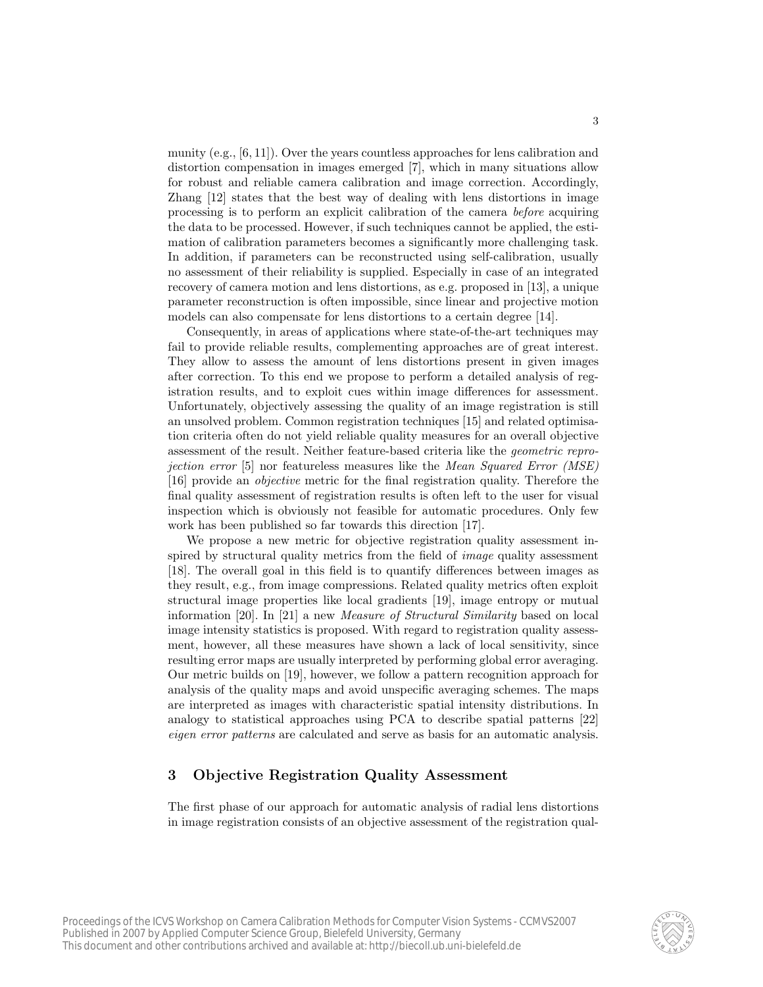munity (e.g., [6, 11]). Over the years countless approaches for lens calibration and distortion compensation in images emerged [7], which in many situations allow for robust and reliable camera calibration and image correction. Accordingly, Zhang [12] states that the best way of dealing with lens distortions in image processing is to perform an explicit calibration of the camera before acquiring the data to be processed. However, if such techniques cannot be applied, the estimation of calibration parameters becomes a significantly more challenging task. In addition, if parameters can be reconstructed using self-calibration, usually no assessment of their reliability is supplied. Especially in case of an integrated recovery of camera motion and lens distortions, as e.g. proposed in [13], a unique parameter reconstruction is often impossible, since linear and projective motion models can also compensate for lens distortions to a certain degree [14].

Consequently, in areas of applications where state-of-the-art techniques may fail to provide reliable results, complementing approaches are of great interest. They allow to assess the amount of lens distortions present in given images after correction. To this end we propose to perform a detailed analysis of registration results, and to exploit cues within image differences for assessment. Unfortunately, objectively assessing the quality of an image registration is still an unsolved problem. Common registration techniques [15] and related optimisation criteria often do not yield reliable quality measures for an overall objective assessment of the result. Neither feature-based criteria like the geometric reprojection error [5] nor featureless measures like the Mean Squared Error (MSE) [16] provide an objective metric for the final registration quality. Therefore the final quality assessment of registration results is often left to the user for visual inspection which is obviously not feasible for automatic procedures. Only few work has been published so far towards this direction [17].

We propose a new metric for objective registration quality assessment inspired by structural quality metrics from the field of *image* quality assessment [18]. The overall goal in this field is to quantify differences between images as they result, e.g., from image compressions. Related quality metrics often exploit structural image properties like local gradients [19], image entropy or mutual information [20]. In [21] a new Measure of Structural Similarity based on local image intensity statistics is proposed. With regard to registration quality assessment, however, all these measures have shown a lack of local sensitivity, since resulting error maps are usually interpreted by performing global error averaging. Our metric builds on [19], however, we follow a pattern recognition approach for analysis of the quality maps and avoid unspecific averaging schemes. The maps are interpreted as images with characteristic spatial intensity distributions. In analogy to statistical approaches using PCA to describe spatial patterns [22] eigen error patterns are calculated and serve as basis for an automatic analysis.

# 3 Objective Registration Quality Assessment

The first phase of our approach for automatic analysis of radial lens distortions in image registration consists of an objective assessment of the registration qual-

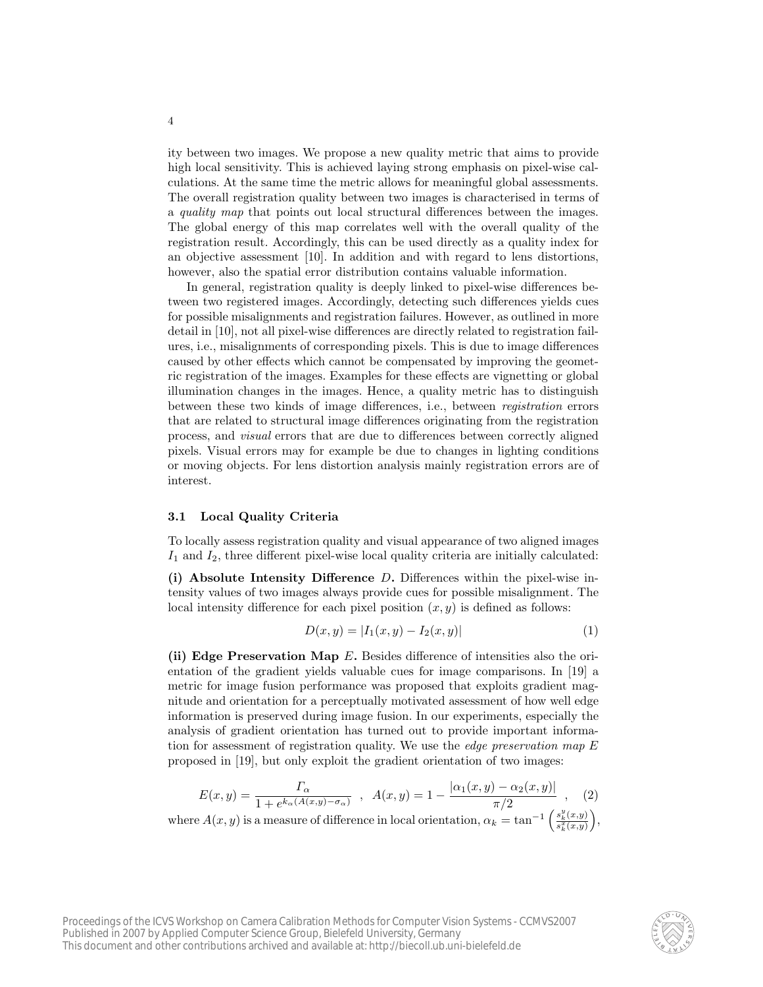ity between two images. We propose a new quality metric that aims to provide high local sensitivity. This is achieved laying strong emphasis on pixel-wise calculations. At the same time the metric allows for meaningful global assessments. The overall registration quality between two images is characterised in terms of a quality map that points out local structural differences between the images. The global energy of this map correlates well with the overall quality of the registration result. Accordingly, this can be used directly as a quality index for an objective assessment [10]. In addition and with regard to lens distortions, however, also the spatial error distribution contains valuable information.

In general, registration quality is deeply linked to pixel-wise differences between two registered images. Accordingly, detecting such differences yields cues for possible misalignments and registration failures. However, as outlined in more detail in [10], not all pixel-wise differences are directly related to registration failures, i.e., misalignments of corresponding pixels. This is due to image differences caused by other effects which cannot be compensated by improving the geometric registration of the images. Examples for these effects are vignetting or global illumination changes in the images. Hence, a quality metric has to distinguish between these two kinds of image differences, i.e., between registration errors that are related to structural image differences originating from the registration process, and visual errors that are due to differences between correctly aligned pixels. Visual errors may for example be due to changes in lighting conditions or moving objects. For lens distortion analysis mainly registration errors are of interest.

#### 3.1 Local Quality Criteria

To locally assess registration quality and visual appearance of two aligned images  $I_1$  and  $I_2$ , three different pixel-wise local quality criteria are initially calculated:

(i) Absolute Intensity Difference  $D$ . Differences within the pixel-wise intensity values of two images always provide cues for possible misalignment. The local intensity difference for each pixel position  $(x, y)$  is defined as follows:

$$
D(x, y) = |I_1(x, y) - I_2(x, y)| \tag{1}
$$

(ii) Edge Preservation Map E. Besides difference of intensities also the orientation of the gradient yields valuable cues for image comparisons. In [19] a metric for image fusion performance was proposed that exploits gradient magnitude and orientation for a perceptually motivated assessment of how well edge information is preserved during image fusion. In our experiments, especially the analysis of gradient orientation has turned out to provide important information for assessment of registration quality. We use the edge preservation map E proposed in [19], but only exploit the gradient orientation of two images:

$$
E(x,y) = \frac{\Gamma_{\alpha}}{1 + e^{k_{\alpha}(A(x,y) - \sigma_{\alpha})}}, \quad A(x,y) = 1 - \frac{|\alpha_1(x,y) - \alpha_2(x,y)|}{\pi/2}, \quad (2)
$$

where  $A(x, y)$  is a measure of difference in local orientation,  $\alpha_k = \tan^{-1}$  $\left(\frac{s_k^y(x,y)}{s_k^x(x,y)}\right),$ 

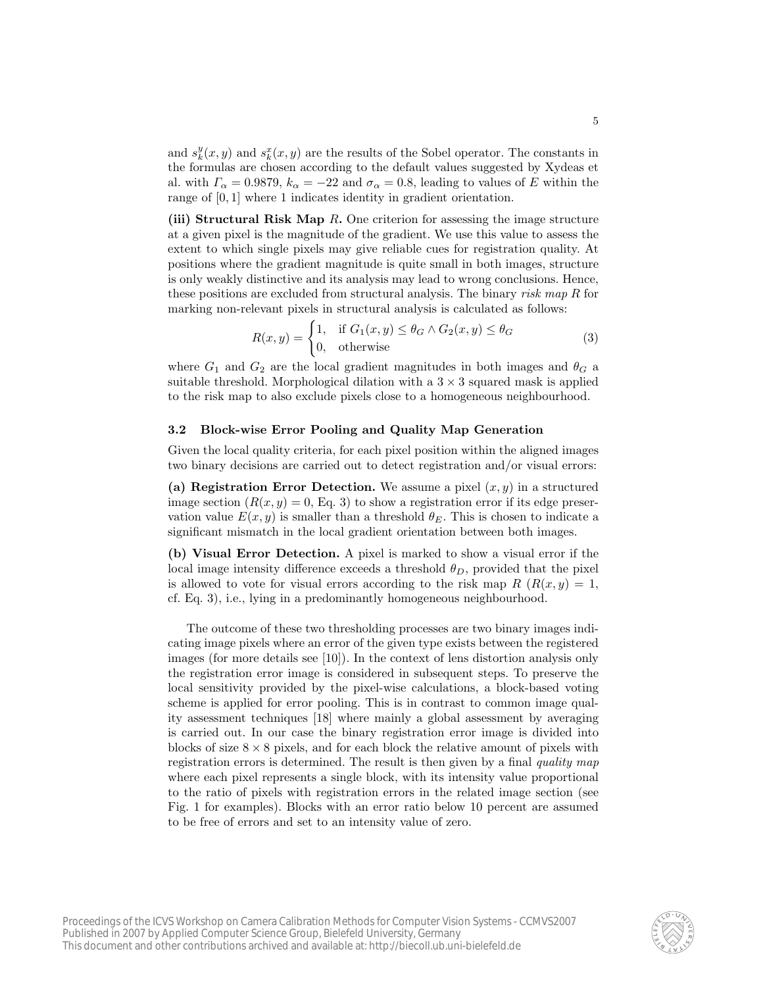and  $s_k^y(x, y)$  and  $s_k^x(x, y)$  are the results of the Sobel operator. The constants in the formulas are chosen according to the default values suggested by Xydeas et al. with  $\Gamma_{\alpha} = 0.9879$ ,  $k_{\alpha} = -22$  and  $\sigma_{\alpha} = 0.8$ , leading to values of E within the range of [0, 1] where 1 indicates identity in gradient orientation.

(iii) Structural Risk Map R. One criterion for assessing the image structure at a given pixel is the magnitude of the gradient. We use this value to assess the extent to which single pixels may give reliable cues for registration quality. At positions where the gradient magnitude is quite small in both images, structure is only weakly distinctive and its analysis may lead to wrong conclusions. Hence, these positions are excluded from structural analysis. The binary risk map R for marking non-relevant pixels in structural analysis is calculated as follows:

$$
R(x,y) = \begin{cases} 1, & \text{if } G_1(x,y) \le \theta_G \land G_2(x,y) \le \theta_G \\ 0, & \text{otherwise} \end{cases} \tag{3}
$$

where  $G_1$  and  $G_2$  are the local gradient magnitudes in both images and  $\theta_G$  a suitable threshold. Morphological dilation with a  $3 \times 3$  squared mask is applied to the risk map to also exclude pixels close to a homogeneous neighbourhood.

#### 3.2 Block-wise Error Pooling and Quality Map Generation

Given the local quality criteria, for each pixel position within the aligned images two binary decisions are carried out to detect registration and/or visual errors:

(a) Registration Error Detection. We assume a pixel  $(x, y)$  in a structured image section  $(R(x, y) = 0, Eq. 3)$  to show a registration error if its edge preservation value  $E(x, y)$  is smaller than a threshold  $\theta_E$ . This is chosen to indicate a significant mismatch in the local gradient orientation between both images.

(b) Visual Error Detection. A pixel is marked to show a visual error if the local image intensity difference exceeds a threshold  $\theta_D$ , provided that the pixel is allowed to vote for visual errors according to the risk map  $R(R(x, y) = 1,$ cf. Eq. 3), i.e., lying in a predominantly homogeneous neighbourhood.

The outcome of these two thresholding processes are two binary images indicating image pixels where an error of the given type exists between the registered images (for more details see [10]). In the context of lens distortion analysis only the registration error image is considered in subsequent steps. To preserve the local sensitivity provided by the pixel-wise calculations, a block-based voting scheme is applied for error pooling. This is in contrast to common image quality assessment techniques [18] where mainly a global assessment by averaging is carried out. In our case the binary registration error image is divided into blocks of size  $8 \times 8$  pixels, and for each block the relative amount of pixels with registration errors is determined. The result is then given by a final quality map where each pixel represents a single block, with its intensity value proportional to the ratio of pixels with registration errors in the related image section (see Fig. 1 for examples). Blocks with an error ratio below 10 percent are assumed to be free of errors and set to an intensity value of zero.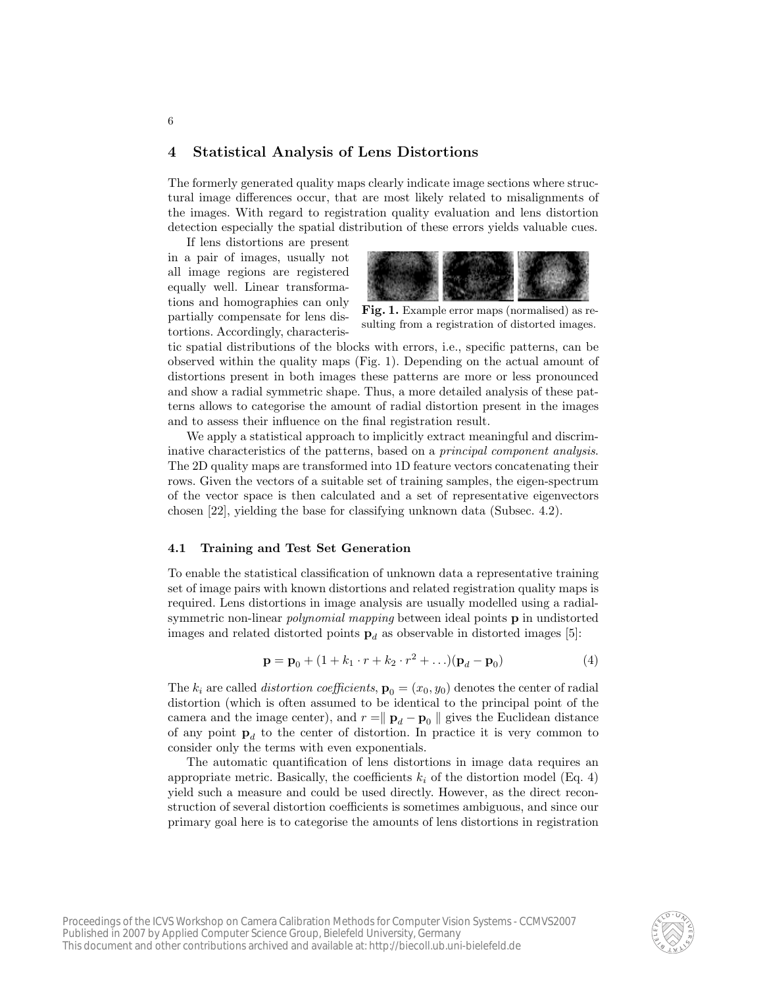### 4 Statistical Analysis of Lens Distortions

The formerly generated quality maps clearly indicate image sections where structural image differences occur, that are most likely related to misalignments of the images. With regard to registration quality evaluation and lens distortion detection especially the spatial distribution of these errors yields valuable cues.

If lens distortions are present in a pair of images, usually not all image regions are registered equally well. Linear transformations and homographies can only partially compensate for lens distortions. Accordingly, characteris-



Fig. 1. Example error maps (normalised) as resulting from a registration of distorted images.

tic spatial distributions of the blocks with errors, i.e., specific patterns, can be observed within the quality maps (Fig. 1). Depending on the actual amount of distortions present in both images these patterns are more or less pronounced and show a radial symmetric shape. Thus, a more detailed analysis of these patterns allows to categorise the amount of radial distortion present in the images and to assess their influence on the final registration result.

We apply a statistical approach to implicitly extract meaningful and discriminative characteristics of the patterns, based on a principal component analysis. The 2D quality maps are transformed into 1D feature vectors concatenating their rows. Given the vectors of a suitable set of training samples, the eigen-spectrum of the vector space is then calculated and a set of representative eigenvectors chosen [22], yielding the base for classifying unknown data (Subsec. 4.2).

#### 4.1 Training and Test Set Generation

To enable the statistical classification of unknown data a representative training set of image pairs with known distortions and related registration quality maps is required. Lens distortions in image analysis are usually modelled using a radialsymmetric non-linear *polynomial mapping* between ideal points **p** in undistorted images and related distorted points  $\mathbf{p}_d$  as observable in distorted images [5]:

$$
\mathbf{p} = \mathbf{p}_0 + (1 + k_1 \cdot r + k_2 \cdot r^2 + \ldots)(\mathbf{p}_d - \mathbf{p}_0)
$$
(4)

The  $k_i$  are called *distortion coefficients*,  $\mathbf{p}_0 = (x_0, y_0)$  denotes the center of radial distortion (which is often assumed to be identical to the principal point of the camera and the image center), and  $r = \parallel \mathbf{p}_d - \mathbf{p}_0 \parallel$  gives the Euclidean distance of any point  $p_d$  to the center of distortion. In practice it is very common to consider only the terms with even exponentials.

The automatic quantification of lens distortions in image data requires an appropriate metric. Basically, the coefficients  $k_i$  of the distortion model (Eq. 4) yield such a measure and could be used directly. However, as the direct reconstruction of several distortion coefficients is sometimes ambiguous, and since our primary goal here is to categorise the amounts of lens distortions in registration

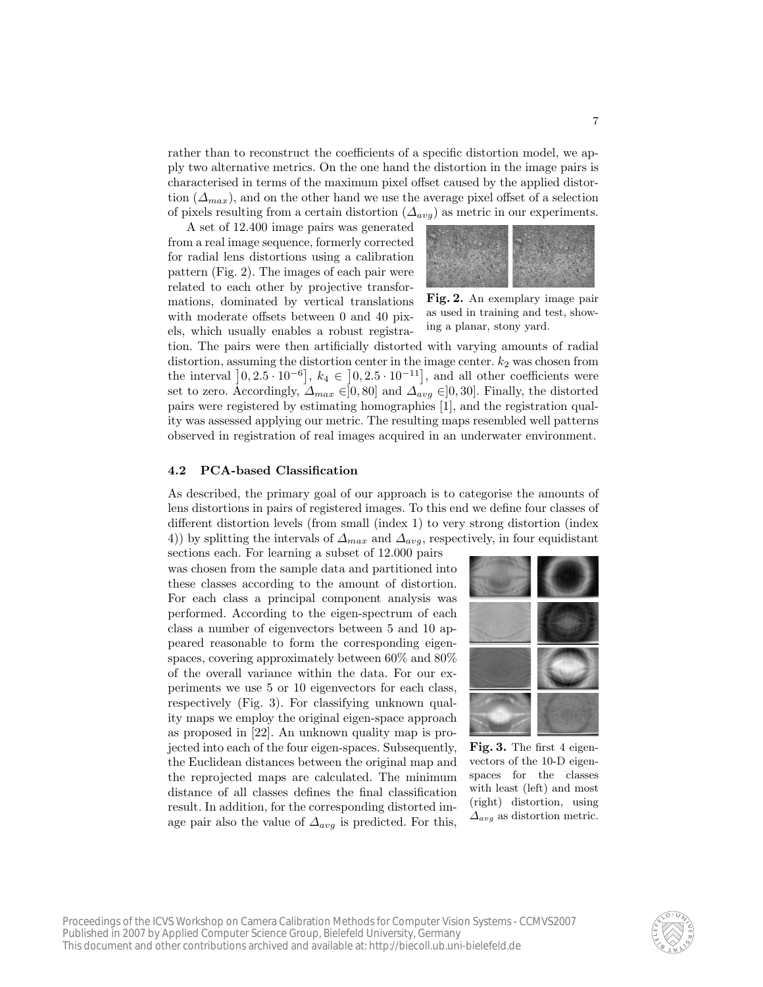rather than to reconstruct the coefficients of a specific distortion model, we apply two alternative metrics. On the one hand the distortion in the image pairs is characterised in terms of the maximum pixel offset caused by the applied distortion  $(\Delta_{max})$ , and on the other hand we use the average pixel offset of a selection of pixels resulting from a certain distortion  $(\Delta_{avg})$  as metric in our experiments.

A set of 12.400 image pairs was generated from a real image sequence, formerly corrected for radial lens distortions using a calibration pattern (Fig. 2). The images of each pair were related to each other by projective transformations, dominated by vertical translations with moderate offsets between 0 and 40 pixels, which usually enables a robust registra-



Fig. 2. An exemplary image pair as used in training and test, showing a planar, stony yard.

tion. The pairs were then artificially distorted with varying amounts of radial distortion, assuming the distortion center in the image center.  $k_2$  was chosen from the interval  $\left[0, 2.5 \cdot 10^{-6}\right]$ ,  $k_4 \in \left[0, 2.5 \cdot 10^{-11}\right]$ , and all other coefficients were set to zero. Accordingly,  $\Delta_{max} \in ]0,80]$  and  $\Delta_{avg} \in ]0,30]$ . Finally, the distorted pairs were registered by estimating homographies [1], and the registration quality was assessed applying our metric. The resulting maps resembled well patterns observed in registration of real images acquired in an underwater environment.

#### 4.2 PCA-based Classification

As described, the primary goal of our approach is to categorise the amounts of lens distortions in pairs of registered images. To this end we define four classes of different distortion levels (from small (index 1) to very strong distortion (index 4)) by splitting the intervals of  $\Delta_{max}$  and  $\Delta_{avg}$ , respectively, in four equidistant

sections each. For learning a subset of 12.000 pairs was chosen from the sample data and partitioned into these classes according to the amount of distortion. For each class a principal component analysis was performed. According to the eigen-spectrum of each class a number of eigenvectors between 5 and 10 appeared reasonable to form the corresponding eigenspaces, covering approximately between 60% and 80% of the overall variance within the data. For our experiments we use 5 or 10 eigenvectors for each class, respectively (Fig. 3). For classifying unknown quality maps we employ the original eigen-space approach as proposed in [22]. An unknown quality map is projected into each of the four eigen-spaces. Subsequently, the Euclidean distances between the original map and the reprojected maps are calculated. The minimum distance of all classes defines the final classification result. In addition, for the corresponding distorted image pair also the value of  $\Delta_{avg}$  is predicted. For this,



Fig. 3. The first 4 eigenvectors of the 10-D eigenspaces for the classes with least (left) and most (right) distortion, using  $\Delta_{avg}$  as distortion metric.

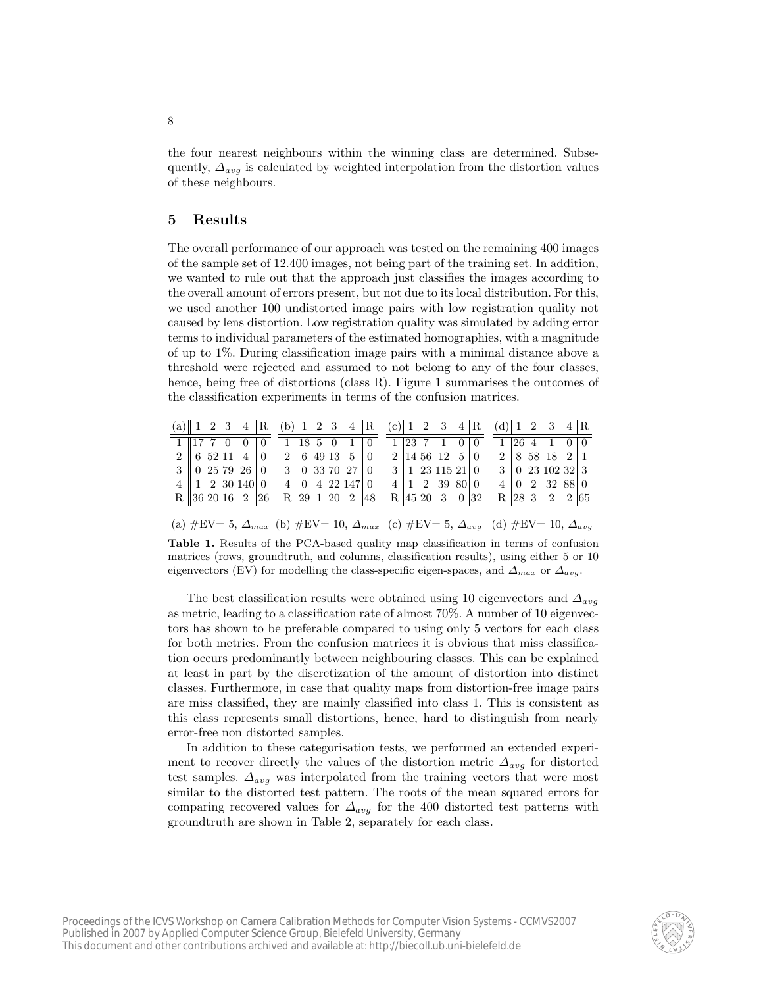the four nearest neighbours within the winning class are determined. Subsequently,  $\Delta_{avg}$  is calculated by weighted interpolation from the distortion values of these neighbours.

### 5 Results

The overall performance of our approach was tested on the remaining 400 images of the sample set of 12.400 images, not being part of the training set. In addition, we wanted to rule out that the approach just classifies the images according to the overall amount of errors present, but not due to its local distribution. For this, we used another 100 undistorted image pairs with low registration quality not caused by lens distortion. Low registration quality was simulated by adding error terms to individual parameters of the estimated homographies, with a magnitude of up to 1%. During classification image pairs with a minimal distance above a threshold were rejected and assumed to not belong to any of the four classes, hence, being free of distortions (class R). Figure 1 summarises the outcomes of the classification experiments in terms of the confusion matrices.

|  |  |                                                                    | (a) $\begin{bmatrix} 1 & 2 & 3 & 4 \end{bmatrix}$ R (b) $\begin{bmatrix} 1 & 2 & 3 & 4 \end{bmatrix}$ R (c) $\begin{bmatrix} 1 & 2 & 3 & 4 \end{bmatrix}$ R (d) $\begin{bmatrix} 1 & 2 & 3 & 4 \end{bmatrix}$ R |  |                                                                               |  |  |                                             |  |  |                                                     |  |
|--|--|--------------------------------------------------------------------|-----------------------------------------------------------------------------------------------------------------------------------------------------------------------------------------------------------------|--|-------------------------------------------------------------------------------|--|--|---------------------------------------------|--|--|-----------------------------------------------------|--|
|  |  | $1 \parallel 17 \parallel 7 \parallel 0 \parallel 0 \parallel 0$   |                                                                                                                                                                                                                 |  | $1 \begin{pmatrix} 18 & 5 & 0 & 1 & 0 & 1 & 23 & 7 & 1 & 0 & 0 \end{pmatrix}$ |  |  |                                             |  |  | $1 26\;4\;1\;0 0$                                   |  |
|  |  | 2  652114 0                                                        |                                                                                                                                                                                                                 |  | 2   6 49 13 5   0                                                             |  |  | $2 14\;56\;12\;5 0$                         |  |  | $2 \mid 8 \; 58 \; 18 \; 2 \mid 1$                  |  |
|  |  | $3 \parallel 0$ 25 79 26 0                                         |                                                                                                                                                                                                                 |  | 3   0 33 70 27   0                                                            |  |  | $3 \mid 1 \n23 \n115 \n21 \mid 0$           |  |  | $3 \mid 0$ 23 102 32 3                              |  |
|  |  | $4 \parallel 1 \parallel 2 \parallel 30 \parallel 140 \parallel 0$ |                                                                                                                                                                                                                 |  | $4 \mid 0 \mid 4 \mid 22 \mid 147 \mid 0$                                     |  |  | $4 \mid 1 \quad 2 \quad 39 \quad 80 \mid 0$ |  |  | $4 \begin{bmatrix} 0 & 2 & 32 & 88 \end{bmatrix}$ 0 |  |
|  |  |                                                                    | R 36 20 16 2 26 R 29 1 20 2 48 R 45 20 3 0 32                                                                                                                                                                   |  |                                                                               |  |  |                                             |  |  | R 28 3 2 2 65                                       |  |

(a)  $\#$ EV= 5,  $\Delta_{max}$  (b)  $\#$ EV= 10,  $\Delta_{max}$  (c)  $\#$ EV= 5,  $\Delta_{avg}$  (d)  $\#$ EV= 10,  $\Delta_{avg}$ 

Table 1. Results of the PCA-based quality map classification in terms of confusion matrices (rows, groundtruth, and columns, classification results), using either 5 or 10 eigenvectors (EV) for modelling the class-specific eigen-spaces, and  $\Delta_{max}$  or  $\Delta_{avg}$ .

The best classification results were obtained using 10 eigenvectors and  $\Delta_{avg}$ as metric, leading to a classification rate of almost 70%. A number of 10 eigenvectors has shown to be preferable compared to using only 5 vectors for each class for both metrics. From the confusion matrices it is obvious that miss classification occurs predominantly between neighbouring classes. This can be explained at least in part by the discretization of the amount of distortion into distinct classes. Furthermore, in case that quality maps from distortion-free image pairs are miss classified, they are mainly classified into class 1. This is consistent as this class represents small distortions, hence, hard to distinguish from nearly error-free non distorted samples.

In addition to these categorisation tests, we performed an extended experiment to recover directly the values of the distortion metric  $\Delta_{avg}$  for distorted test samples.  $\Delta_{avg}$  was interpolated from the training vectors that were most similar to the distorted test pattern. The roots of the mean squared errors for comparing recovered values for  $\Delta_{avg}$  for the 400 distorted test patterns with groundtruth are shown in Table 2, separately for each class.

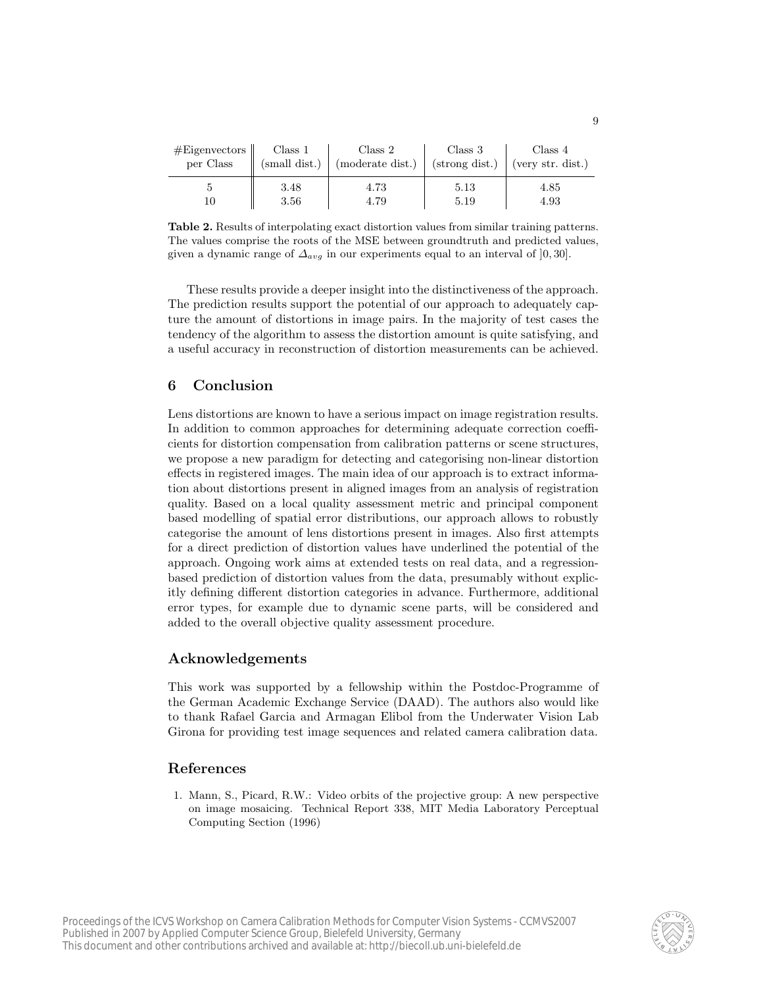| #Eigenvectors | Class 1       | Class 2          | Class 3        | Class 4           |
|---------------|---------------|------------------|----------------|-------------------|
| per Class     | (small dist.) | (moderate dist.) | (strong dist.) | (very str. dist.) |
| 10            | 3.48          | 4.73             | $5.13\,$       | 4.85              |
|               | 3.56          | 4.79             | 5.19           | 4.93              |

Table 2. Results of interpolating exact distortion values from similar training patterns. The values comprise the roots of the MSE between groundtruth and predicted values, given a dynamic range of  $\Delta_{avg}$  in our experiments equal to an interval of [0, 30].

These results provide a deeper insight into the distinctiveness of the approach. The prediction results support the potential of our approach to adequately capture the amount of distortions in image pairs. In the majority of test cases the tendency of the algorithm to assess the distortion amount is quite satisfying, and a useful accuracy in reconstruction of distortion measurements can be achieved.

## 6 Conclusion

Lens distortions are known to have a serious impact on image registration results. In addition to common approaches for determining adequate correction coefficients for distortion compensation from calibration patterns or scene structures, we propose a new paradigm for detecting and categorising non-linear distortion effects in registered images. The main idea of our approach is to extract information about distortions present in aligned images from an analysis of registration quality. Based on a local quality assessment metric and principal component based modelling of spatial error distributions, our approach allows to robustly categorise the amount of lens distortions present in images. Also first attempts for a direct prediction of distortion values have underlined the potential of the approach. Ongoing work aims at extended tests on real data, and a regressionbased prediction of distortion values from the data, presumably without explicitly defining different distortion categories in advance. Furthermore, additional error types, for example due to dynamic scene parts, will be considered and added to the overall objective quality assessment procedure.

### Acknowledgements

This work was supported by a fellowship within the Postdoc-Programme of the German Academic Exchange Service (DAAD). The authors also would like to thank Rafael Garcia and Armagan Elibol from the Underwater Vision Lab Girona for providing test image sequences and related camera calibration data.

### References

1. Mann, S., Picard, R.W.: Video orbits of the projective group: A new perspective on image mosaicing. Technical Report 338, MIT Media Laboratory Perceptual Computing Section (1996)